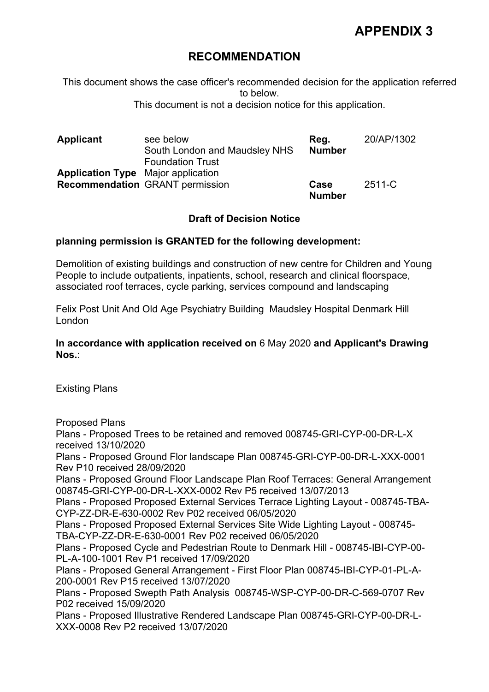# **APPENDIX 3**

# **RECOMMENDATION**

This document shows the case officer's recommended decision for the application referred to below.

This document is not a decision notice for this application.

| <b>Applicant</b>                          | see below<br>South London and Maudsley NHS<br><b>Foundation Trust</b> | Reg.<br><b>Number</b> | 20/AP/1302 |
|-------------------------------------------|-----------------------------------------------------------------------|-----------------------|------------|
| <b>Application Type</b> Major application |                                                                       |                       |            |
|                                           | <b>Recommendation</b> GRANT permission                                | Case<br><b>Number</b> | $2511 - C$ |

### **Draft of Decision Notice**

### **planning permission is GRANTED for the following development:**

Demolition of existing buildings and construction of new centre for Children and Young People to include outpatients, inpatients, school, research and clinical floorspace, associated roof terraces, cycle parking, services compound and landscaping

Felix Post Unit And Old Age Psychiatry Building Maudsley Hospital Denmark Hill London

**In accordance with application received on** 6 May 2020 **and Applicant's Drawing Nos.**:

Existing Plans

Proposed Plans

Plans - Proposed Trees to be retained and removed 008745-GRI-CYP-00-DR-L-X received 13/10/2020

Plans - Proposed Ground Flor landscape Plan 008745-GRI-CYP-00-DR-L-XXX-0001 Rev P10 received 28/09/2020

Plans - Proposed Ground Floor Landscape Plan Roof Terraces: General Arrangement 008745-GRI-CYP-00-DR-L-XXX-0002 Rev P5 received 13/07/2013

Plans - Proposed Proposed External Services Terrace Lighting Layout - 008745-TBA-CYP-ZZ-DR-E-630-0002 Rev P02 received 06/05/2020

Plans - Proposed Proposed External Services Site Wide Lighting Layout - 008745- TBA-CYP-ZZ-DR-E-630-0001 Rev P02 received 06/05/2020

Plans - Proposed Cycle and Pedestrian Route to Denmark Hill - 008745-IBI-CYP-00- PL-A-100-1001 Rev P1 received 17/09/2020

Plans - Proposed General Arrangement - First Floor Plan 008745-IBI-CYP-01-PL-A-200-0001 Rev P15 received 13/07/2020

Plans - Proposed Swepth Path Analysis 008745-WSP-CYP-00-DR-C-569-0707 Rev P02 received 15/09/2020

Plans - Proposed Illustrative Rendered Landscape Plan 008745-GRI-CYP-00-DR-L-XXX-0008 Rev P2 received 13/07/2020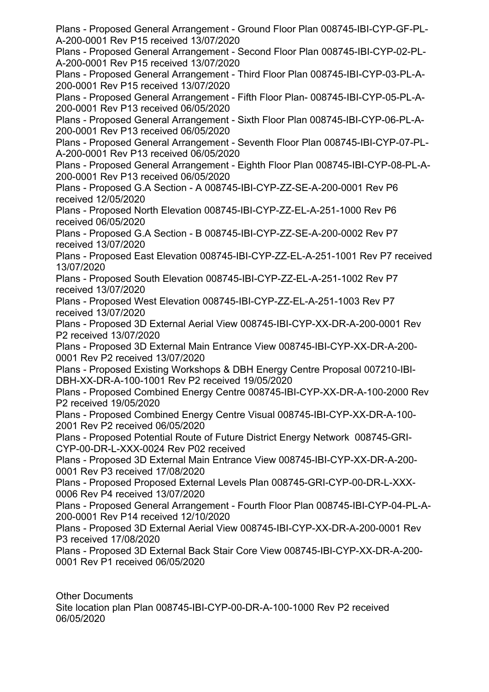Plans - Proposed General Arrangement - Ground Floor Plan 008745-IBI-CYP-GF-PL-A-200-0001 Rev P15 received 13/07/2020 Plans - Proposed General Arrangement - Second Floor Plan 008745-IBI-CYP-02-PL-A-200-0001 Rev P15 received 13/07/2020 Plans - Proposed General Arrangement - Third Floor Plan 008745-IBI-CYP-03-PL-A-200-0001 Rev P15 received 13/07/2020 Plans - Proposed General Arrangement - Fifth Floor Plan- 008745-IBI-CYP-05-PL-A-200-0001 Rev P13 received 06/05/2020 Plans - Proposed General Arrangement - Sixth Floor Plan 008745-IBI-CYP-06-PL-A-200-0001 Rev P13 received 06/05/2020 Plans - Proposed General Arrangement - Seventh Floor Plan 008745-IBI-CYP-07-PL-A-200-0001 Rev P13 received 06/05/2020 Plans - Proposed General Arrangement - Eighth Floor Plan 008745-IBI-CYP-08-PL-A-200-0001 Rev P13 received 06/05/2020 Plans - Proposed G.A Section - A 008745-IBI-CYP-ZZ-SE-A-200-0001 Rev P6 received 12/05/2020 Plans - Proposed North Elevation 008745-IBI-CYP-ZZ-EL-A-251-1000 Rev P6 received 06/05/2020 Plans - Proposed G.A Section - B 008745-IBI-CYP-ZZ-SE-A-200-0002 Rev P7 received 13/07/2020 Plans - Proposed East Elevation 008745-IBI-CYP-ZZ-EL-A-251-1001 Rev P7 received 13/07/2020 Plans - Proposed South Elevation 008745-IBI-CYP-ZZ-EL-A-251-1002 Rev P7 received 13/07/2020 Plans - Proposed West Elevation 008745-IBI-CYP-ZZ-EL-A-251-1003 Rev P7 received 13/07/2020 Plans - Proposed 3D External Aerial View 008745-IBI-CYP-XX-DR-A-200-0001 Rev P2 received 13/07/2020 Plans - Proposed 3D External Main Entrance View 008745-IBI-CYP-XX-DR-A-200- 0001 Rev P2 received 13/07/2020 Plans - Proposed Existing Workshops & DBH Energy Centre Proposal 007210-IBI-DBH-XX-DR-A-100-1001 Rev P2 received 19/05/2020 Plans - Proposed Combined Energy Centre 008745-IBI-CYP-XX-DR-A-100-2000 Rev P2 received 19/05/2020 Plans - Proposed Combined Energy Centre Visual 008745-IBI-CYP-XX-DR-A-100- 2001 Rev P2 received 06/05/2020 Plans - Proposed Potential Route of Future District Energy Network 008745-GRI-CYP-00-DR-L-XXX-0024 Rev P02 received Plans - Proposed 3D External Main Entrance View 008745-IBI-CYP-XX-DR-A-200- 0001 Rev P3 received 17/08/2020 Plans - Proposed Proposed External Levels Plan 008745-GRI-CYP-00-DR-L-XXX-0006 Rev P4 received 13/07/2020 Plans - Proposed General Arrangement - Fourth Floor Plan 008745-IBI-CYP-04-PL-A-200-0001 Rev P14 received 12/10/2020 Plans - Proposed 3D External Aerial View 008745-IBI-CYP-XX-DR-A-200-0001 Rev P3 received 17/08/2020 Plans - Proposed 3D External Back Stair Core View 008745-IBI-CYP-XX-DR-A-200- 0001 Rev P1 received 06/05/2020

Other Documents Site location plan Plan 008745-IBI-CYP-00-DR-A-100-1000 Rev P2 received 06/05/2020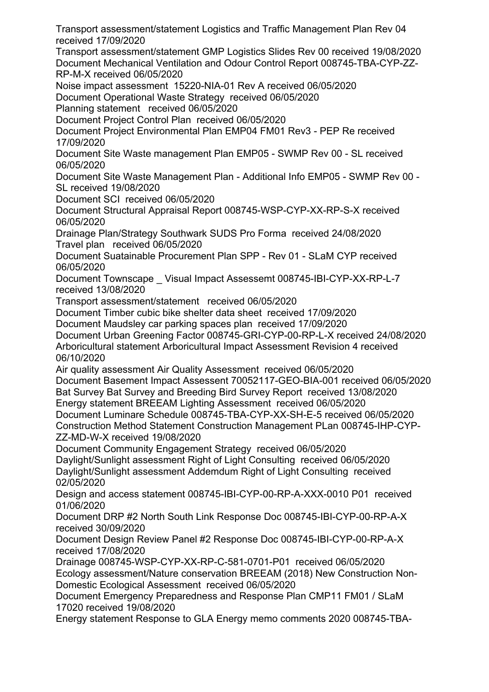Transport assessment/statement Logistics and Traffic Management Plan Rev 04 received 17/09/2020

Transport assessment/statement GMP Logistics Slides Rev 00 received 19/08/2020 Document Mechanical Ventilation and Odour Control Report 008745-TBA-CYP-ZZ-RP-M-X received 06/05/2020

Noise impact assessment 15220-NIA-01 Rev A received 06/05/2020

Document Operational Waste Strategy received 06/05/2020

Planning statement received 06/05/2020

Document Project Control Plan received 06/05/2020

Document Project Environmental Plan EMP04 FM01 Rev3 - PEP Re received 17/09/2020

Document Site Waste management Plan EMP05 - SWMP Rev 00 - SL received 06/05/2020

Document Site Waste Management Plan - Additional Info EMP05 - SWMP Rev 00 - SL received 19/08/2020

Document SCI received 06/05/2020

Document Structural Appraisal Report 008745-WSP-CYP-XX-RP-S-X received 06/05/2020

Drainage Plan/Strategy Southwark SUDS Pro Forma received 24/08/2020 Travel plan received 06/05/2020

Document Suatainable Procurement Plan SPP - Rev 01 - SLaM CYP received 06/05/2020

Document Townscape \_ Visual Impact Assessemt 008745-IBI-CYP-XX-RP-L-7 received 13/08/2020

Transport assessment/statement received 06/05/2020

Document Timber cubic bike shelter data sheet received 17/09/2020

Document Maudsley car parking spaces plan received 17/09/2020

Document Urban Greening Factor 008745-GRI-CYP-00-RP-L-X received 24/08/2020 Arboricultural statement Arboricultural Impact Assessment Revision 4 received 06/10/2020

Air quality assessment Air Quality Assessment received 06/05/2020 Document Basement Impact Assessent 70052117-GEO-BIA-001 received 06/05/2020 Bat Survey Bat Survey and Breeding Bird Survey Report received 13/08/2020

Energy statement BREEAM Lighting Assessment received 06/05/2020 Document Luminare Schedule 008745-TBA-CYP-XX-SH-E-5 received 06/05/2020 Construction Method Statement Construction Management PLan 008745-IHP-CYP-ZZ-MD-W-X received 19/08/2020

Document Community Engagement Strategy received 06/05/2020 Daylight/Sunlight assessment Right of Light Consulting received 06/05/2020 Daylight/Sunlight assessment Addemdum Right of Light Consulting received 02/05/2020

Design and access statement 008745-IBI-CYP-00-RP-A-XXX-0010 P01 received 01/06/2020

Document DRP #2 North South Link Response Doc 008745-IBI-CYP-00-RP-A-X received 30/09/2020

Document Design Review Panel #2 Response Doc 008745-IBI-CYP-00-RP-A-X received 17/08/2020

Drainage 008745-WSP-CYP-XX-RP-C-581-0701-P01 received 06/05/2020 Ecology assessment/Nature conservation BREEAM (2018) New Construction Non-Domestic Ecological Assessment received 06/05/2020

Document Emergency Preparedness and Response Plan CMP11 FM01 / SLaM 17020 received 19/08/2020

Energy statement Response to GLA Energy memo comments 2020 008745-TBA-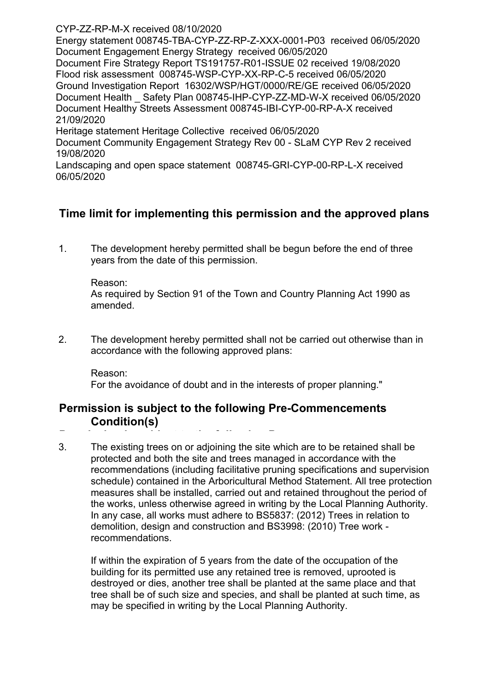CYP-ZZ-RP-M-X received 08/10/2020

Energy statement 008745-TBA-CYP-ZZ-RP-Z-XXX-0001-P03 received 06/05/2020 Document Engagement Energy Strategy received 06/05/2020 Document Fire Strategy Report TS191757-R01-ISSUE 02 received 19/08/2020 Flood risk assessment 008745-WSP-CYP-XX-RP-C-5 received 06/05/2020 Ground Investigation Report 16302/WSP/HGT/0000/RE/GE received 06/05/2020 Document Health \_ Safety Plan 008745-IHP-CYP-ZZ-MD-W-X received 06/05/2020 Document Healthy Streets Assessment 008745-IBI-CYP-00-RP-A-X received 21/09/2020 Heritage statement Heritage Collective received 06/05/2020 Document Community Engagement Strategy Rev 00 - SLaM CYP Rev 2 received 19/08/2020

Landscaping and open space statement 008745-GRI-CYP-00-RP-L-X received 06/05/2020

# **Time limit for implementing this permission and the approved plans**

1. The development hereby permitted shall be begun before the end of three years from the date of this permission.

### Reason:

As required by Section 91 of the Town and Country Planning Act 1990 as amended.

2. The development hereby permitted shall not be carried out otherwise than in accordance with the following approved plans:

Reason: For the avoidance of doubt and in the interests of proper planning."

# **Permission is subject to the following Pre-Commencements Condition(s)**

**Permission is subject to the following Pre-**3. The existing trees on or adjoining the site which are to be retained shall be protected and both the site and trees managed in accordance with the recommendations (including facilitative pruning specifications and supervision schedule) contained in the Arboricultural Method Statement. All tree protection measures shall be installed, carried out and retained throughout the period of the works, unless otherwise agreed in writing by the Local Planning Authority. In any case, all works must adhere to BS5837: (2012) Trees in relation to demolition, design and construction and BS3998: (2010) Tree work recommendations.

If within the expiration of 5 years from the date of the occupation of the building for its permitted use any retained tree is removed, uprooted is destroyed or dies, another tree shall be planted at the same place and that tree shall be of such size and species, and shall be planted at such time, as may be specified in writing by the Local Planning Authority.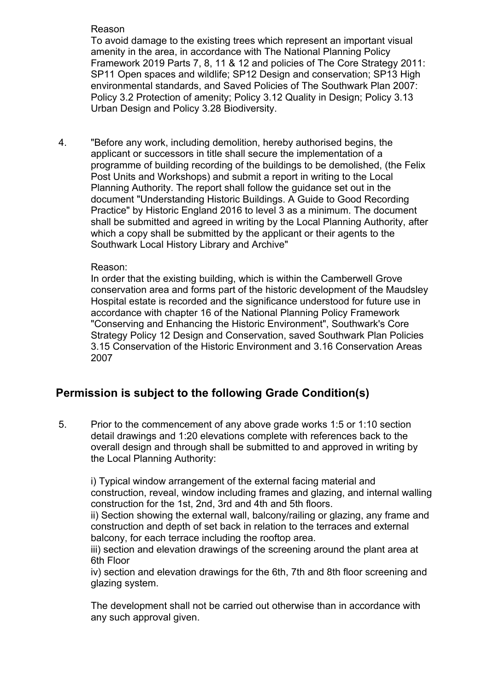# Reason

To avoid damage to the existing trees which represent an important visual amenity in the area, in accordance with The National Planning Policy Framework 2019 Parts 7, 8, 11 & 12 and policies of The Core Strategy 2011: SP11 Open spaces and wildlife; SP12 Design and conservation; SP13 High environmental standards, and Saved Policies of The Southwark Plan 2007: Policy 3.2 Protection of amenity; Policy 3.12 Quality in Design; Policy 3.13 Urban Design and Policy 3.28 Biodiversity.

4. "Before any work, including demolition, hereby authorised begins, the applicant or successors in title shall secure the implementation of a programme of building recording of the buildings to be demolished, (the Felix Post Units and Workshops) and submit a report in writing to the Local Planning Authority. The report shall follow the guidance set out in the document "Understanding Historic Buildings. A Guide to Good Recording Practice" by Historic England 2016 to level 3 as a minimum. The document shall be submitted and agreed in writing by the Local Planning Authority, after which a copy shall be submitted by the applicant or their agents to the Southwark Local History Library and Archive"

# Reason:

In order that the existing building, which is within the Camberwell Grove conservation area and forms part of the historic development of the Maudsley Hospital estate is recorded and the significance understood for future use in accordance with chapter 16 of the National Planning Policy Framework "Conserving and Enhancing the Historic Environment", Southwark's Core Strategy Policy 12 Design and Conservation, saved Southwark Plan Policies 3.15 Conservation of the Historic Environment and 3.16 Conservation Areas 2007

# **Permission is subject to the following Grade Condition(s)**

5. Prior to the commencement of any above grade works 1:5 or 1:10 section detail drawings and 1:20 elevations complete with references back to the overall design and through shall be submitted to and approved in writing by the Local Planning Authority:

i) Typical window arrangement of the external facing material and construction, reveal, window including frames and glazing, and internal walling construction for the 1st, 2nd, 3rd and 4th and 5th floors.

ii) Section showing the external wall, balcony/railing or glazing, any frame and construction and depth of set back in relation to the terraces and external balcony, for each terrace including the rooftop area.

iii) section and elevation drawings of the screening around the plant area at 6th Floor

iv) section and elevation drawings for the 6th, 7th and 8th floor screening and glazing system.

The development shall not be carried out otherwise than in accordance with any such approval given.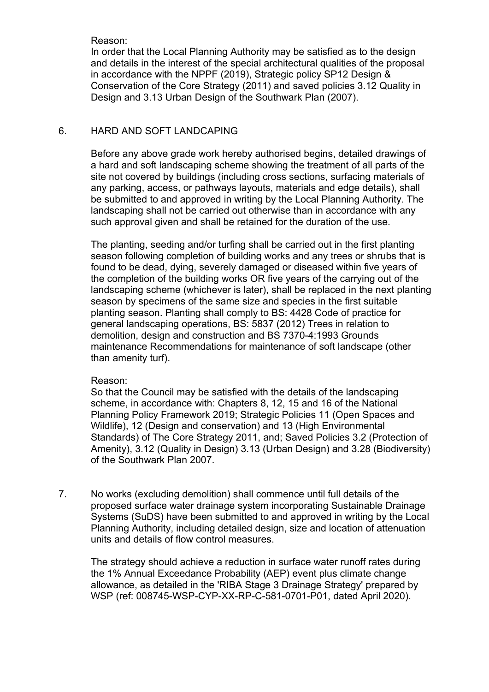Reason:

In order that the Local Planning Authority may be satisfied as to the design and details in the interest of the special architectural qualities of the proposal in accordance with the NPPF (2019), Strategic policy SP12 Design & Conservation of the Core Strategy (2011) and saved policies 3.12 Quality in Design and 3.13 Urban Design of the Southwark Plan (2007).

### 6. HARD AND SOFT LANDCAPING

Before any above grade work hereby authorised begins, detailed drawings of a hard and soft landscaping scheme showing the treatment of all parts of the site not covered by buildings (including cross sections, surfacing materials of any parking, access, or pathways layouts, materials and edge details), shall be submitted to and approved in writing by the Local Planning Authority. The landscaping shall not be carried out otherwise than in accordance with any such approval given and shall be retained for the duration of the use.

The planting, seeding and/or turfing shall be carried out in the first planting season following completion of building works and any trees or shrubs that is found to be dead, dying, severely damaged or diseased within five years of the completion of the building works OR five years of the carrying out of the landscaping scheme (whichever is later), shall be replaced in the next planting season by specimens of the same size and species in the first suitable planting season. Planting shall comply to BS: 4428 Code of practice for general landscaping operations, BS: 5837 (2012) Trees in relation to demolition, design and construction and BS 7370-4:1993 Grounds maintenance Recommendations for maintenance of soft landscape (other than amenity turf).

### Reason:

So that the Council may be satisfied with the details of the landscaping scheme, in accordance with: Chapters 8, 12, 15 and 16 of the National Planning Policy Framework 2019; Strategic Policies 11 (Open Spaces and Wildlife), 12 (Design and conservation) and 13 (High Environmental Standards) of The Core Strategy 2011, and; Saved Policies 3.2 (Protection of Amenity), 3.12 (Quality in Design) 3.13 (Urban Design) and 3.28 (Biodiversity) of the Southwark Plan 2007.

7. No works (excluding demolition) shall commence until full details of the proposed surface water drainage system incorporating Sustainable Drainage Systems (SuDS) have been submitted to and approved in writing by the Local Planning Authority, including detailed design, size and location of attenuation units and details of flow control measures.

The strategy should achieve a reduction in surface water runoff rates during the 1% Annual Exceedance Probability (AEP) event plus climate change allowance, as detailed in the 'RIBA Stage 3 Drainage Strategy' prepared by WSP (ref: 008745-WSP-CYP-XX-RP-C-581-0701-P01, dated April 2020).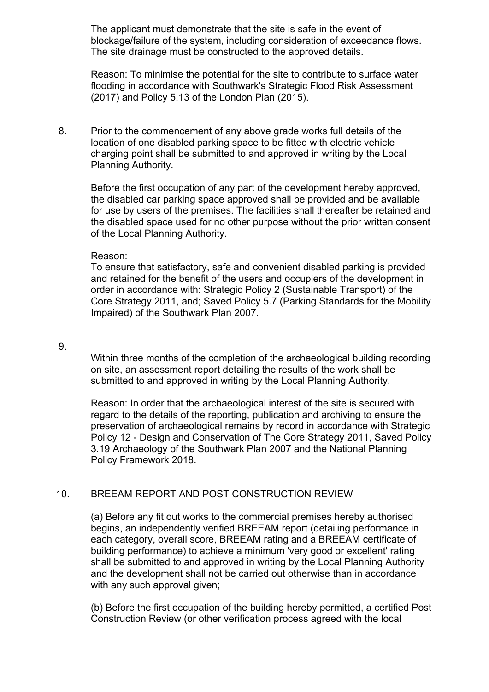The applicant must demonstrate that the site is safe in the event of blockage/failure of the system, including consideration of exceedance flows. The site drainage must be constructed to the approved details.

Reason: To minimise the potential for the site to contribute to surface water flooding in accordance with Southwark's Strategic Flood Risk Assessment (2017) and Policy 5.13 of the London Plan (2015).

8. Prior to the commencement of any above grade works full details of the location of one disabled parking space to be fitted with electric vehicle charging point shall be submitted to and approved in writing by the Local Planning Authority.

Before the first occupation of any part of the development hereby approved, the disabled car parking space approved shall be provided and be available for use by users of the premises. The facilities shall thereafter be retained and the disabled space used for no other purpose without the prior written consent of the Local Planning Authority.

#### Reason:

To ensure that satisfactory, safe and convenient disabled parking is provided and retained for the benefit of the users and occupiers of the development in order in accordance with: Strategic Policy 2 (Sustainable Transport) of the Core Strategy 2011, and; Saved Policy 5.7 (Parking Standards for the Mobility Impaired) of the Southwark Plan 2007.

#### 9.

Within three months of the completion of the archaeological building recording on site, an assessment report detailing the results of the work shall be submitted to and approved in writing by the Local Planning Authority.

Reason: In order that the archaeological interest of the site is secured with regard to the details of the reporting, publication and archiving to ensure the preservation of archaeological remains by record in accordance with Strategic Policy 12 - Design and Conservation of The Core Strategy 2011, Saved Policy 3.19 Archaeology of the Southwark Plan 2007 and the National Planning Policy Framework 2018.

### 10. BREEAM REPORT AND POST CONSTRUCTION REVIEW

(a) Before any fit out works to the commercial premises hereby authorised begins, an independently verified BREEAM report (detailing performance in each category, overall score, BREEAM rating and a BREEAM certificate of building performance) to achieve a minimum 'very good or excellent' rating shall be submitted to and approved in writing by the Local Planning Authority and the development shall not be carried out otherwise than in accordance with any such approval given;

(b) Before the first occupation of the building hereby permitted, a certified Post Construction Review (or other verification process agreed with the local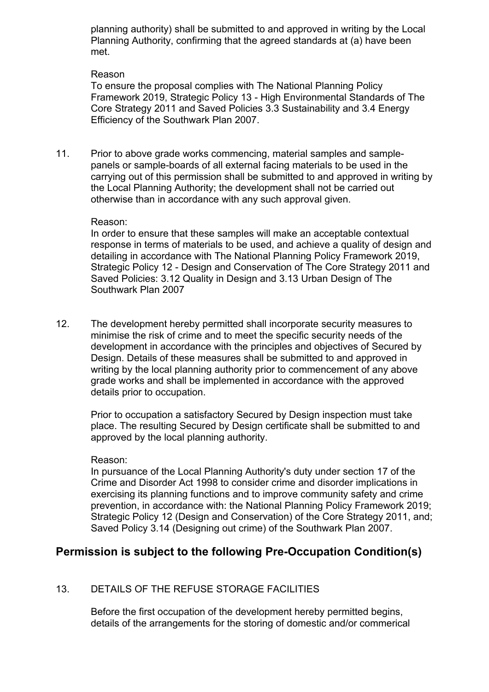planning authority) shall be submitted to and approved in writing by the Local Planning Authority, confirming that the agreed standards at (a) have been met.

### Reason

To ensure the proposal complies with The National Planning Policy Framework 2019, Strategic Policy 13 - High Environmental Standards of The Core Strategy 2011 and Saved Policies 3.3 Sustainability and 3.4 Energy Efficiency of the Southwark Plan 2007.

11. Prior to above grade works commencing, material samples and samplepanels or sample-boards of all external facing materials to be used in the carrying out of this permission shall be submitted to and approved in writing by the Local Planning Authority; the development shall not be carried out otherwise than in accordance with any such approval given.

### Reason:

In order to ensure that these samples will make an acceptable contextual response in terms of materials to be used, and achieve a quality of design and detailing in accordance with The National Planning Policy Framework 2019, Strategic Policy 12 - Design and Conservation of The Core Strategy 2011 and Saved Policies: 3.12 Quality in Design and 3.13 Urban Design of The Southwark Plan 2007

12. The development hereby permitted shall incorporate security measures to minimise the risk of crime and to meet the specific security needs of the development in accordance with the principles and objectives of Secured by Design. Details of these measures shall be submitted to and approved in writing by the local planning authority prior to commencement of any above grade works and shall be implemented in accordance with the approved details prior to occupation.

Prior to occupation a satisfactory Secured by Design inspection must take place. The resulting Secured by Design certificate shall be submitted to and approved by the local planning authority.

#### Reason:

In pursuance of the Local Planning Authority's duty under section 17 of the Crime and Disorder Act 1998 to consider crime and disorder implications in exercising its planning functions and to improve community safety and crime prevention, in accordance with: the National Planning Policy Framework 2019; Strategic Policy 12 (Design and Conservation) of the Core Strategy 2011, and; Saved Policy 3.14 (Designing out crime) of the Southwark Plan 2007.

# **Permission is subject to the following Pre-Occupation Condition(s)**

# 13. DETAILS OF THE REFUSE STORAGE FACILITIES

Before the first occupation of the development hereby permitted begins, details of the arrangements for the storing of domestic and/or commerical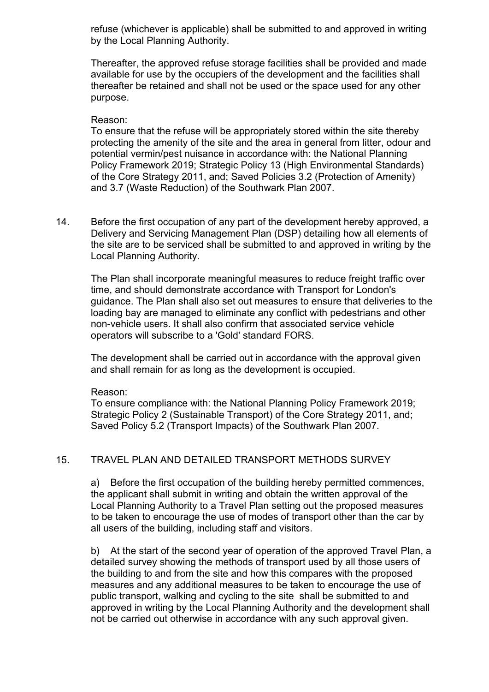refuse (whichever is applicable) shall be submitted to and approved in writing by the Local Planning Authority.

Thereafter, the approved refuse storage facilities shall be provided and made available for use by the occupiers of the development and the facilities shall thereafter be retained and shall not be used or the space used for any other purpose.

#### Reason:

To ensure that the refuse will be appropriately stored within the site thereby protecting the amenity of the site and the area in general from litter, odour and potential vermin/pest nuisance in accordance with: the National Planning Policy Framework 2019; Strategic Policy 13 (High Environmental Standards) of the Core Strategy 2011, and; Saved Policies 3.2 (Protection of Amenity) and 3.7 (Waste Reduction) of the Southwark Plan 2007.

14. Before the first occupation of any part of the development hereby approved, a Delivery and Servicing Management Plan (DSP) detailing how all elements of the site are to be serviced shall be submitted to and approved in writing by the Local Planning Authority.

The Plan shall incorporate meaningful measures to reduce freight traffic over time, and should demonstrate accordance with Transport for London's guidance. The Plan shall also set out measures to ensure that deliveries to the loading bay are managed to eliminate any conflict with pedestrians and other non-vehicle users. It shall also confirm that associated service vehicle operators will subscribe to a 'Gold' standard FORS.

The development shall be carried out in accordance with the approval given and shall remain for as long as the development is occupied.

#### Reason:

To ensure compliance with: the National Planning Policy Framework 2019; Strategic Policy 2 (Sustainable Transport) of the Core Strategy 2011, and; Saved Policy 5.2 (Transport Impacts) of the Southwark Plan 2007.

### 15. TRAVEL PLAN AND DETAILED TRANSPORT METHODS SURVEY

a) Before the first occupation of the building hereby permitted commences, the applicant shall submit in writing and obtain the written approval of the Local Planning Authority to a Travel Plan setting out the proposed measures to be taken to encourage the use of modes of transport other than the car by all users of the building, including staff and visitors.

b) At the start of the second year of operation of the approved Travel Plan, a detailed survey showing the methods of transport used by all those users of the building to and from the site and how this compares with the proposed measures and any additional measures to be taken to encourage the use of public transport, walking and cycling to the site shall be submitted to and approved in writing by the Local Planning Authority and the development shall not be carried out otherwise in accordance with any such approval given.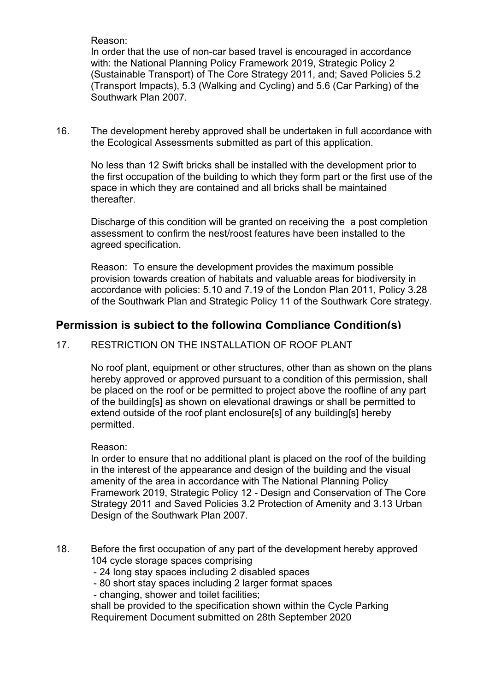Reason:

In order that the use of non-car based travel is encouraged in accordance with: the National Planning Policy Framework 2019, Strategic Policy 2 (Sustainable Transport) of The Core Strategy 2011, and; Saved Policies 5.2 (Transport Impacts), 5.3 (Walking and Cycling) and 5.6 (Car Parking) of the Southwark Plan 2007.

16. The development hereby approved shall be undertaken in full accordance with the Ecological Assessments submitted as part of this application.

No less than 12 Swift bricks shall be installed with the development prior to the first occupation of the building to which they form part or the first use of the space in which they are contained and all bricks shall be maintained **thereafter** 

Discharge of this condition will be granted on receiving the a post completion assessment to confirm the nest/roost features have been installed to the agreed specification.

Reason: To ensure the development provides the maximum possible provision towards creation of habitats and valuable areas for biodiversity in accordance with policies: 5.10 and 7.19 of the London Plan 2011, Policy 3.28 of the Southwark Plan and Strategic Policy 11 of the Southwark Core strategy.

# **Permission is subject to the following Compliance Condition(s)**

# **Permission is subject to the following Compliance Condition(s) Permission is subject to the following Compliance Condition(s)** 17. RESTRICTION ON THE INSTALLATION OF ROOF PLANT

No roof plant, equipment or other structures, other than as shown on the plans hereby approved or approved pursuant to a condition of this permission, shall be placed on the roof or be permitted to project above the roofline of any part **Permission is subject to the following Compliance Condition(s)** of the building[s] as shown on elevational drawings or shall be permitted to extend outside of the roof plant enclosure[s] of any building[s] hereby permitted.

### Reason:

In order to ensure that no additional plant is placed on the roof of the building in the interest of the appearance and design of the building and the visual amenity of the area in accordance with The National Planning Policy Framework 2019, Strategic Policy 12 - Design and Conservation of The Core Strategy 2011 and Saved Policies 3.2 Protection of Amenity and 3.13 Urban Design of the Southwark Plan 2007.

- 18. Before the first occupation of any part of the development hereby approved 104 cycle storage spaces comprising
	- 24 long stay spaces including 2 disabled spaces
	- 80 short stay spaces including 2 larger format spaces
	- changing, shower and toilet facilities;

shall be provided to the specification shown within the Cycle Parking Requirement Document submitted on 28th September 2020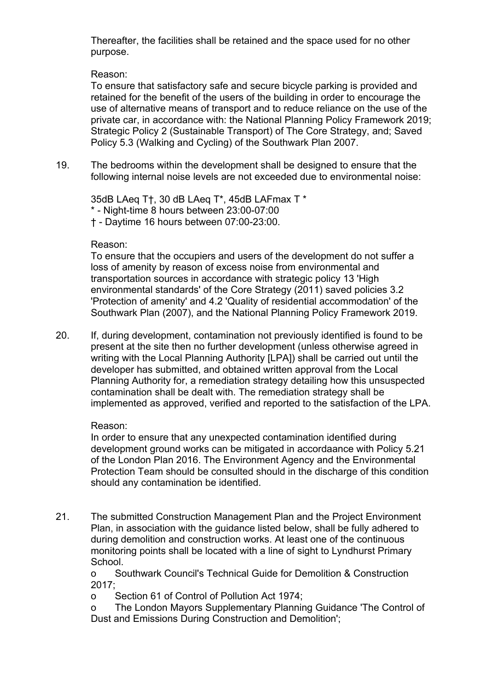Thereafter, the facilities shall be retained and the space used for no other purpose.

### Reason:

To ensure that satisfactory safe and secure bicycle parking is provided and retained for the benefit of the users of the building in order to encourage the use of alternative means of transport and to reduce reliance on the use of the private car, in accordance with: the National Planning Policy Framework 2019; Strategic Policy 2 (Sustainable Transport) of The Core Strategy, and; Saved Policy 5.3 (Walking and Cycling) of the Southwark Plan 2007.

19. The bedrooms within the development shall be designed to ensure that the following internal noise levels are not exceeded due to environmental noise:

35dB LAeq T†, 30 dB LAeq T\*, 45dB LAFmax T \* \* - Night-time 8 hours between 23:00-07:00 † - Daytime 16 hours between 07:00-23:00.

### Reason:

To ensure that the occupiers and users of the development do not suffer a loss of amenity by reason of excess noise from environmental and transportation sources in accordance with strategic policy 13 'High environmental standards' of the Core Strategy (2011) saved policies 3.2 'Protection of amenity' and 4.2 'Quality of residential accommodation' of the Southwark Plan (2007), and the National Planning Policy Framework 2019.

20. If, during development, contamination not previously identified is found to be present at the site then no further development (unless otherwise agreed in writing with the Local Planning Authority [LPA]) shall be carried out until the developer has submitted, and obtained written approval from the Local Planning Authority for, a remediation strategy detailing how this unsuspected contamination shall be dealt with. The remediation strategy shall be implemented as approved, verified and reported to the satisfaction of the LPA.

# Reason:

In order to ensure that any unexpected contamination identified during development ground works can be mitigated in accordaance with Policy 5.21 of the London Plan 2016. The Environment Agency and the Environmental Protection Team should be consulted should in the discharge of this condition should any contamination be identified.

21. The submitted Construction Management Plan and the Project Environment Plan, in association with the guidance listed below, shall be fully adhered to during demolition and construction works. At least one of the continuous monitoring points shall be located with a line of sight to Lyndhurst Primary School.

o Southwark Council's Technical Guide for Demolition & Construction 2017;

o Section 61 of Control of Pollution Act 1974;

o The London Mayors Supplementary Planning Guidance 'The Control of Dust and Emissions During Construction and Demolition';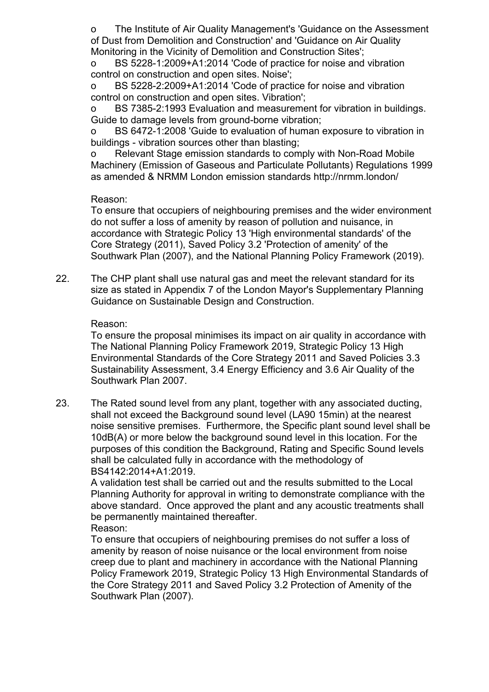o The Institute of Air Quality Management's 'Guidance on the Assessment of Dust from Demolition and Construction' and 'Guidance on Air Quality Monitoring in the Vicinity of Demolition and Construction Sites';

o BS 5228-1:2009+A1:2014 'Code of practice for noise and vibration control on construction and open sites. Noise';

o BS 5228-2:2009+A1:2014 'Code of practice for noise and vibration control on construction and open sites. Vibration';

o BS 7385-2:1993 Evaluation and measurement for vibration in buildings. Guide to damage levels from ground-borne vibration;

o BS 6472-1:2008 'Guide to evaluation of human exposure to vibration in buildings - vibration sources other than blasting;

o Relevant Stage emission standards to comply with Non-Road Mobile Machinery (Emission of Gaseous and Particulate Pollutants) Regulations 1999 as amended & NRMM London emission standards http://nrmm.london/

# Reason:

To ensure that occupiers of neighbouring premises and the wider environment do not suffer a loss of amenity by reason of pollution and nuisance, in accordance with Strategic Policy 13 'High environmental standards' of the Core Strategy (2011), Saved Policy 3.2 'Protection of amenity' of the Southwark Plan (2007), and the National Planning Policy Framework (2019).

22. The CHP plant shall use natural gas and meet the relevant standard for its size as stated in Appendix 7 of the London Mayor's Supplementary Planning Guidance on Sustainable Design and Construction.

### Reason:

To ensure the proposal minimises its impact on air quality in accordance with The National Planning Policy Framework 2019, Strategic Policy 13 High Environmental Standards of the Core Strategy 2011 and Saved Policies 3.3 Sustainability Assessment, 3.4 Energy Efficiency and 3.6 Air Quality of the Southwark Plan 2007.

23. The Rated sound level from any plant, together with any associated ducting, shall not exceed the Background sound level (LA90 15min) at the nearest noise sensitive premises. Furthermore, the Specific plant sound level shall be 10dB(A) or more below the background sound level in this location. For the purposes of this condition the Background, Rating and Specific Sound levels shall be calculated fully in accordance with the methodology of BS4142:2014+A1:2019.

A validation test shall be carried out and the results submitted to the Local Planning Authority for approval in writing to demonstrate compliance with the above standard. Once approved the plant and any acoustic treatments shall be permanently maintained thereafter.

Reason:

To ensure that occupiers of neighbouring premises do not suffer a loss of amenity by reason of noise nuisance or the local environment from noise creep due to plant and machinery in accordance with the National Planning Policy Framework 2019, Strategic Policy 13 High Environmental Standards of the Core Strategy 2011 and Saved Policy 3.2 Protection of Amenity of the Southwark Plan (2007).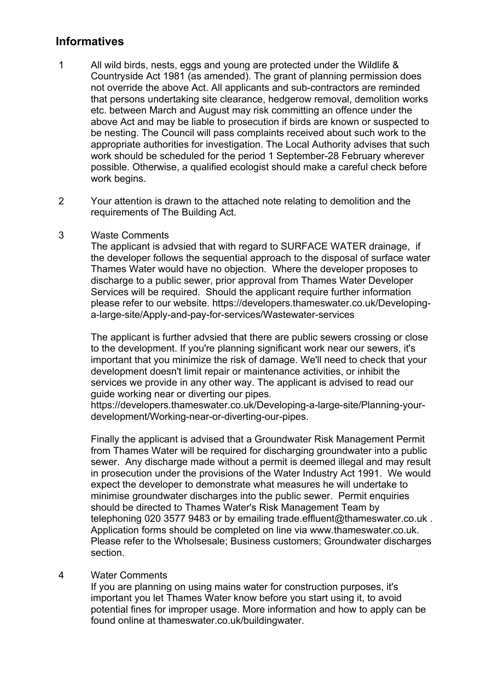# **Informatives**

- 1 All wild birds, nests, eggs and young are protected under the Wildlife & Countryside Act 1981 (as amended). The grant of planning permission does not override the above Act. All applicants and sub-contractors are reminded that persons undertaking site clearance, hedgerow removal, demolition works etc. between March and August may risk committing an offence under the above Act and may be liable to prosecution if birds are known or suspected to be nesting. The Council will pass complaints received about such work to the appropriate authorities for investigation. The Local Authority advises that such work should be scheduled for the period 1 September-28 February wherever possible. Otherwise, a qualified ecologist should make a careful check before work begins.
- 2 Your attention is drawn to the attached note relating to demolition and the requirements of The Building Act.

### 3 Waste Comments

The applicant is advsied that with regard to SURFACE WATER drainage, if the developer follows the sequential approach to the disposal of surface water Thames Water would have no objection. Where the developer proposes to discharge to a public sewer, prior approval from Thames Water Developer Services will be required. Should the applicant require further information please refer to our website. https://developers.thameswater.co.uk/Developinga-large-site/Apply-and-pay-for-services/Wastewater-services

The applicant is further advsied that there are public sewers crossing or close to the development. If you're planning significant work near our sewers, it's important that you minimize the risk of damage. We'll need to check that your development doesn't limit repair or maintenance activities, or inhibit the services we provide in any other way. The applicant is advised to read our guide working near or diverting our pipes.

https://developers.thameswater.co.uk/Developing-a-large-site/Planning-yourdevelopment/Working-near-or-diverting-our-pipes.

Finally the applicant is advised that a Groundwater Risk Management Permit from Thames Water will be required for discharging groundwater into a public sewer. Any discharge made without a permit is deemed illegal and may result in prosecution under the provisions of the Water Industry Act 1991. We would expect the developer to demonstrate what measures he will undertake to minimise groundwater discharges into the public sewer. Permit enquiries should be directed to Thames Water's Risk Management Team by telephoning 020 3577 9483 or by emailing trade.effluent@thameswater.co.uk . Application forms should be completed on line via www.thameswater.co.uk. Please refer to the Wholsesale; Business customers; Groundwater discharges section.

### 4 Water Comments

If you are planning on using mains water for construction purposes, it's important you let Thames Water know before you start using it, to avoid potential fines for improper usage. More information and how to apply can be found online at thameswater.co.uk/buildingwater.